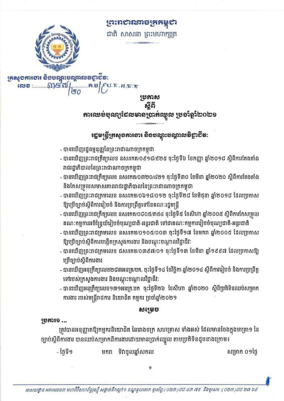ព្រះពសាលាចក្រកម្ពុស



ជាតិ សាសនា ព្រះមហាក្សត្រ

ក្រសួខភារខារ និខមណ្ឌះបណ្ដាលទទូរទីន: <u> மையை வைத்து (</u> 

- បានឃើញរដ្ឋធម្មនុញ្ញនៃព្រះរាជាណាចក្រកម្ពុជា

និងកែសម្រួលសមាសភាពរាជរដ្ឋាភិបាលនៃព្រះរាជាណាចក្រកម្ពុជា

ឱ្យប្រើច្បាប់ស្តីពីការបង្កើតក្រសួងការងារ និងបណ្តុះបណ្តាលវិជ្ជាជីវៈ

ទៅរបស់ក្រសួងការងារ និងបណ្តុះបណ្តាលវិជ្ជាជីវៈ

មករា

ការងារ របស់មន្ត្រីរាជការ និយោជិត កម្មករ ប្រចាំឆ្នាំ២០២១

ឱ្យប្រើច្បាប់ស្តីពីការរៀបចំ និងការប្រព្រឹត្តទៅនៃគណៈរដ្ឋមន្ត្រី

រាជរដ្ឋាភិបាលនៃព្រះរាជាណាចក្រកម្ពុជា

ប្រើច្បាប់ស្តីពីការងារ

**58339.** 

- ថ្ងៃទី១

ស្តីពី ភារឈម់មុណ្យដែលមានប្រាក់ឈ្នួល ប្រចាំឆ្នាំ២០២១

ឡេមស្ត្រីអ្រសួទភាទោះ សិទបណ្តុះមណ្តាលទិខ្ចាខីទ:

- បានឃើញព្រះរាជក្រឹត្យលេខ នស/រកត/០៩១៨/៩២៥ ចុះថ្ងៃទី៦ ខែកញ្ញា ឆ្នាំ២០១៨ ស្តីពីការតែងតាំង

- បានឃើញព្រះរាជក្រឹត្យលេខ នស/រកត/០៣២០/៤២១ ចុះថ្ងៃទី៣០ ខែមីនា ឆ្នាំ២០២០ ស្តីពីការតែងតាំង

- បានឃើញព្រះរាជក្រមលេខ នស/រកម/០៦១៨/០១២ ចុះថ្ងៃទី២៨ ខែមិថុនា ឆ្នាំ២០១៨ ដែលប្រកាស

- បានឃើញព្រះរាជក្រឹត្យលេខ នសរកត/០៨០៥/៣៥៤ ចុះថ្ងៃទី៥ ខែសីហា ឆ្នាំ២០០៥ ស្តីពីការកែសម្រួល

- បានឃើញព្រះរាជក្រមលេខ នស/រកម/០១០៥/០០៣ ចុះថ្ងៃទី១៧ ខែមករា ឆ្នាំ២០០៥ ដែលប្រកាស

- បានឃើញព្រះរាជក្រមលេខ ជស/រកម/០៣៩៧/០១ ចុះថ្ងៃទី១៣ ខែមីនា ឆ្នាំ១៩៩៧ ដែលប្រកាសឱ្យ

- បានឃើញអនុក្រឹត្យលេខ២៨៣អនក្រ/បក. ចុះថ្ងៃទី១៤ ខែវិច្ឆិកា ឆ្នាំ២០១៤ ស្តីពីការរៀបចំ និងការប្រព្រឹត្ត

- បានឃើញអនុក្រឹត្យលេខ១៣១អនក្រ.បក ចុះថ្ងៃទី២៦ ខែសីហា ឆ្នាំ២០២០ ស្តីពីប្រតិទិនឈប់សម្រាក

ត្រូវបានអនុញ្ញាតឱ្យកម្មករនិយោជិត នៃរោងចក្រ សហគ្រាស ទាំងអស់ ដែលមានចែងក្នុងមាត្រា១ នៃ

គណៈកម្មការអចិន្ត្រៃយ៍រៀបចំបុណ្យជាតិ-អន្តរជាតិ ទៅជាគណៈកម្មការរៀបចំបុណ្យជាតិ-អន្តរជាតិ

ម្រអាស

ទិវាចូលឆ្នាំសកល

85655553

សម្រាក ០១ថ្ងៃ

ច្បាប់ស្តីពីការងារ បានឈប់សម្រាកពីការងារដោយមានប្រាក់ឈ្នួល តាមប្រតិទិនដូចខាងក្រោម៖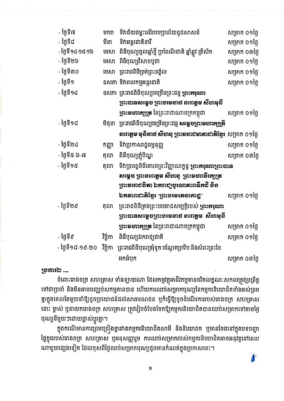| - ថ្ងៃទី៧          | មករា     | ទិវាជ័យជម្នះលើរបបប្រល័យពូជសាសន៍                                           | សម្រាក ០១ថ្ងៃ |  |  |
|--------------------|----------|---------------------------------------------------------------------------|---------------|--|--|
| - ថ្ងៃទី៨          | មីនា     | ទិវាអន្តរជាតិនារី                                                         | សម្រាក ០១ថ្ងៃ |  |  |
| - ថ្ងៃទី១៤-១៥-១៦   | មេសា     | ពិធីបុណ្យចូលឆ្នាំថ្មី ប្រពៃណីជាតិ ឆ្នាំឆ្លូវ ត្រីស័ក                      | សម្រាក ០៣ថ្ងៃ |  |  |
| - ថ្ងៃទី២៦         | មេសា     | ពិធីបុណ្យវិសាខបូជា                                                        | សម្រាក ០១ថ្ងៃ |  |  |
| - ថ្ងៃទី៣០         | មេសា     | ព្រះរាជពិធីច្រត់ព្រះនង្គ័ល                                                | សម្រាក ០១ថ្ងៃ |  |  |
| - ថ្ងៃទី១          |          | ឧសភា ទិវាពលកម្មអន្តរជាតិ                                                  | សម្រាក ០១ថ្ងៃ |  |  |
| - ថ្ងៃទី១៤         |          | ឧសភា ព្រះរាជពិធីបុណ្យចម្រើនព្រះជន្ម <b>ទ្រះ<del>អ</del>រុណ</b> រ          |               |  |  |
|                    |          | ព្រះបានសម្តេច ព្រះមមេនាថ នពេត្តម សីមាមុនី                                 |               |  |  |
|                    |          | <b>ទ្រោះមសារក្សត្រ</b> នៃព្រះរាជាណាចក្រកម្ពុជា                            | សម្រាក ០១ថ្ងៃ |  |  |
| - ថ្ងៃទី១៨         | មិថុនា   | ព្រះរាជពិធីបុណ្យចម្រើនព្រះជន្ម <b>សម្ដេចរួចរះមបារអង្រូ<del>អី</del></b>   |               |  |  |
|                    |          | <b>លរោត្តម មុសិលថ សីហនុ ព្រះខររា៩មាតា៩ាអីខ្មែរ</b> សម្រាក ០១ថ្ងៃ          |               |  |  |
| - ថ្ងៃទី២៤         | កញ្ញា    | ទិវាប្រកាសរដ្នធម្មនុញ្ញ                                                   | សម្រាក ០១ថ្ងៃ |  |  |
| - ថ្ងៃទី៥-៦-៧      | តុលា     | ពិធីបុណ្យភ្ជុំបិណ្ឌ                                                       | សម្រាក ០៣ថ្ងៃ |  |  |
| - ថ្ងៃទី១៥<br>តុលា |          | ទិវាប្រារព្ធពិធីគោរពព្រះវិញ្ញាណក្ខន្ធ <b>ទ្រះ<del>អ</del>រុសារទ្រះបាន</b> |               |  |  |
|                    |          | សម្តេច ព្រះនពេត្តម សីហនុ  ព្រះមហាទីអេប្រូត                                |               |  |  |
|                    |          | ព្រះទអា៩មិតា ឯអព៩្យមុរសេតាពធីអដី តិខ                                      |               |  |  |
|                    |          | ឯអឝាពខាតិខ្មែរ "ព្រះបមេរតនគោខ្ជៈ                                          | សម្រាក ០១ថ្ងៃ |  |  |
| - ថ្ងៃទី២៩         | តុលា     | ព្រះរាជពិធីគ្រងព្រះបរមរាជសម្បត្តិរបស់ <b>ទ្រះ<del>អ</del>រុណ</b> រ        |               |  |  |
|                    |          | ព្រះបានសម្ដេចព្រះថមេនាថ នពេត្ដម  សីចាមុនី                                 |               |  |  |
|                    |          | <b>រួចះមសា<del>រ</del>រ្យួត</b> នៃព្រះរាជាណាចក្រកម្ពុជា                   | សម្រាក ០១ថ្ងៃ |  |  |
| - ថ្ងៃទី៩          | វិច្ឆិកា | ពិធីបុណ្យឯករាជ្យជាតិ                                                      | សម្រាក ០១ថ្ងៃ |  |  |
| - ថ្ងៃទី១៨-១៩-២០   | វិច្ឆិកា | ព្រះរាជពិធីបុណ្យអុំទូក បណ្តែតប្រទីប និងសំពះព្រះខែ                         |               |  |  |
|                    |          | អកអំបុក                                                                   | សម្រាក ០៣ថ្ងៃ |  |  |
|                    |          |                                                                           |               |  |  |

# 193330 .\_

ចំពោះរោងចក្រ សហគ្រាស ទាំងឡាយណា ដែលកម្មវត្ថុអាជីវកម្មមានចរិតលក្ខណៈសកលត្រូវប្រព្រឹត្ត ទៅជាប្រចាំ និងមិនអាចបញ្ឈប់សកម្មភាពបាន ហើយការឈប់សម្រាកបុណ្យនៃកម្មករនិយោជិតទាំងអស់ព្រម គ្នាក្នុងពេលតែមួយនាំឱ្យខូចប្រយោជន៍ដល់សាធារណជន ឬក៏ធ្វើឱ្យខូចដំណើរការរបស់រោងចក្រ សហគ្រាស នោះ ម្ចាស់ ឬនាយករោងចក្រ សហគ្រាស ត្រូវរៀបចំបែងចែកឱ្យកម្មករនិយោជិតបានឈប់សម្រាកទៅតាមថ្ងៃ បុណ្យនីមួយៗដោយផ្លាស់ប្តូរគ្នា។

ក្នុងករណីមានការព្រមព្រៀងគ្នារវាងកម្មករនិយោជិតសាមី និងនិយោជក ឬមានចែងនៅក្នុងបទបញ្ហា ថ្នៃក្នុងរបស់រោងចក្រ សហគ្រាស ឬអនុសញ្ញារួម ការឈប់សម្រាករបស់កម្មករនិយោជិតអាចអនុវត្តនៅពេល ណាមួយផ្សេងទៀត ដែលខុសពីថ្ងៃឈប់សម្រាកបុណ្យដូចមានកំណត់ក្នុងប្រកាសនេះ។

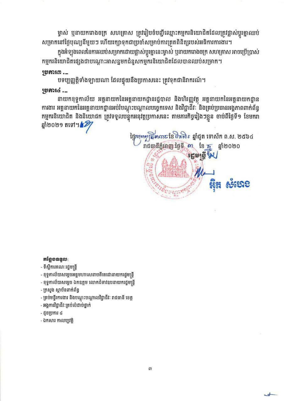ម្ចាស់ ឬនាយករោងចក្រ សហគ្រាស ត្រូវរៀបចំបញ្ជីឈ្មោះកម្មករនិយោជិតដែលត្រូវផ្លាស់ប្តូរគ្នាឈប់ សម្រាកនៅថ្ងៃបុណ្យនីមួយៗ ហើយរក្សាទុកជាប្រចាំសម្រាប់ការត្រួតពិនិត្យរបស់អធិការការងារ។

ក្នុងអំឡុងពេលនៃការឈប់សម្រាកដោយផ្លាស់ប្តូរគ្នានេះម្ចាស់ ឬនាយករោងចក្រ សហគ្រាស អាចប្រើប្រាស់ កម្មករនិយោជិតផ្សេងជាបណ្តោះអាសន្នមកជំនួសកម្មករនិយោជិតដែលបានឈប់សម្រាក។

# <u>ງອອກະຕ.</u>\_

បទប្បញ្ញត្តិទាំងឡាយណា ដែលផ្ទុយនឹងប្រកាសនេះ ត្រូវទុកជានិរាករណ៍។

# 1553716 .\_

នាយកខុទ្ទកាល័យ អគ្គនាយកនៃអគ្គនាយកដ្ឋានរដ្ឋបាល និងហិរញ្ញវត្ថុ អគ្គនាយកនៃអគ្គនាយកដ្ឋាន ការងារ អគ្គនាយកនៃអគ្គនាយកដ្ឋានអប់រំបណ្តុះបណ្តាលបច្ចេកទេស និងវិជ្ជាជីវៈ និងគ្រប់ប្រធានអង្គភាពពាក់ព័ន្ធ កម្មករនិយោជិត និងនិយោជក ត្រូវទទួលបន្ទុំកអនុវត្តប្រកាសនេះ តាមភារកិច្ចរៀងៗខ្លួន ចាប់ពីថ្ងៃទី១ ខែមករា ឆ្នាំ២០២១ តទៅ។*12*7

ត្តិ័ត្យសារ ខែមិត្តសិរៈ ឆ្នាំជូត ទោស័ក ព.ស. ២៥៦៤ រាជធានីភ្នំពេញ ថ្ងៃទី ៣ ខែ **ក្ន** ឆ្នាំ២០២០ 50,555

# $rigeq$

## - ទីស្តីការគណៈរដ្ឋមន្ត្រី

- ខុទ្ទកាល័យសម្តេចអគ្គមហាសេនាបតីតេជោនាយករដ្ឋមន្ត្រី

- 
- 
- ខុទ្ទកាល័យសម្តេច ឯកឧត្តម លោកជំទាវឧបនាយករដ្ឋមន្ត្រី
- 
- ក្រសួង ស្វាប័នពាក់ព័ន្ធ
- គ្រប់មន្ទីរការងារ និងបណ្តុះបណ្តាលវិជ្ជាជីវៈ រាជធានី ខេត្ត
- អង្គការវិជ្ជាជីវៈគ្រប់លំដាប់ថ្នាក់
- ដូចប្រការ ៤
- ឯកសារ កាលប្បវត្តិ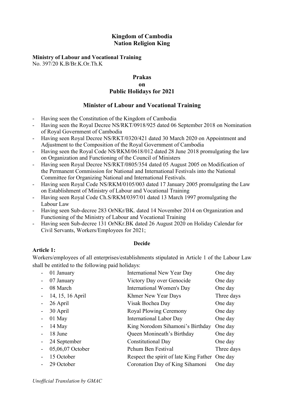## Kingdom of Cambodia Nation Religion King

# Ministry of Labour and Vocational Training

No. 397/20 K.B/Br.K.Or.Th.K

## Prakas on Public Holidays for 2021

## Minister of Labour and Vocational Training

- Having seen the Constitution of the Kingdom of Cambodia
- Having seen the Royal Decree NS/RKT/0918/925 dated 06 September 2018 on Nomination of Royal Government of Cambodia
- Having seen Royal Decree NS/RKT/0320/421 dated 30 March 2020 on Appointment and Adjustment to the Composition of the Royal Government of Cambodia
- Having seen the Royal Code NS/RKM/0618/012 dated 28 June 2018 promulgating the law on Organization and Functioning of the Council of Ministers
- Having seen Royal Decree NS/RKT/0805/354 dated 05 August 2005 on Modification of the Permanent Commission for National and International Festivals into the National Committee for Organizing National and International Festivals.
- Having seen Royal Code NS/RKM/0105/003 dated 17 January 2005 promulgating the Law on Establishment of Ministry of Labour and Vocational Training
- Having seen Royal Code Ch. S/RKM/0397/01 dated 13 March 1997 promulgating the Labour Law
- Having seen Sub-decree 283 OrNKr/BK. dated 14 November 2014 on Organization and Functioning of the Ministry of Labour and Vocational Training
- Having seen Sub-decree 131 OrNKr.BK dated 26 August 2020 on Holiday Calendar for Civil Servants, Workers/Employees for 2021;

## Decide

## Article 1:

Workers/employees of all enterprises/establishments stipulated in Article 1 of the Labour Law shall be entitled to the following paid holidays:

| 01 January       | International New Year Day                     | One day    |
|------------------|------------------------------------------------|------------|
| 07 January       | Victory Day over Genocide                      | One day    |
| 08 March         | International Women's Day                      | One day    |
| 14, 15, 16 April | Khmer New Year Days                            | Three days |
| 26 April         | Visak Bochea Day                               | One day    |
| 30 April         | Royal Plowing Ceremony                         | One day    |
| 01 May           | International Labor Day                        | One day    |
| $14$ May         | King Norodom Sihamoni's Birthday               | One day    |
| 18 June          | Queen Monineath's Birthday                     | One day    |
| 24 September     | <b>Constitutional Day</b>                      | One day    |
| 05,06,07 October | Pchum Ben Festival                             | Three days |
| 15 October       | Respect the spirit of late King Father One day |            |
| 29 October       | Coronation Day of King Sihamoni                | One day    |